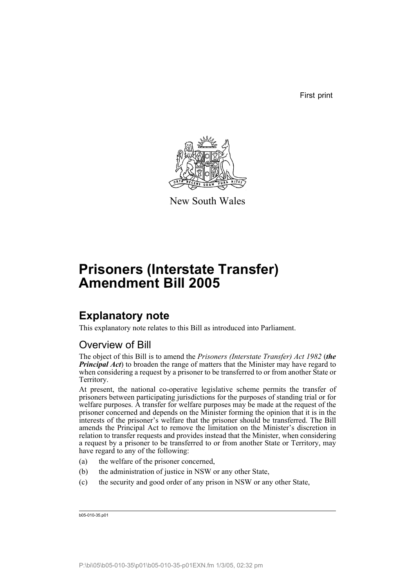First print



New South Wales

# **Prisoners (Interstate Transfer) Amendment Bill 2005**

## **Explanatory note**

This explanatory note relates to this Bill as introduced into Parliament.

### Overview of Bill

The object of this Bill is to amend the *Prisoners (Interstate Transfer) Act 1982* (*the Principal Act*) to broaden the range of matters that the Minister may have regard to when considering a request by a prisoner to be transferred to or from another State or Territory.

At present, the national co-operative legislative scheme permits the transfer of prisoners between participating jurisdictions for the purposes of standing trial or for welfare purposes. A transfer for welfare purposes may be made at the request of the prisoner concerned and depends on the Minister forming the opinion that it is in the interests of the prisoner's welfare that the prisoner should be transferred. The Bill amends the Principal Act to remove the limitation on the Minister's discretion in relation to transfer requests and provides instead that the Minister, when considering a request by a prisoner to be transferred to or from another State or Territory, may have regard to any of the following:

- (a) the welfare of the prisoner concerned,
- (b) the administration of justice in NSW or any other State,
- (c) the security and good order of any prison in NSW or any other State,

b05-010-35.p01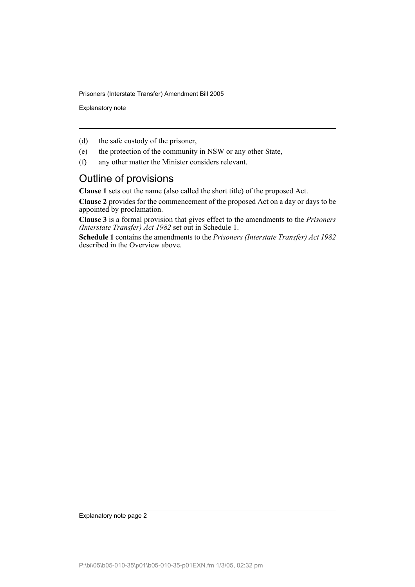Explanatory note

- (d) the safe custody of the prisoner,
- (e) the protection of the community in NSW or any other State,
- (f) any other matter the Minister considers relevant.

### Outline of provisions

**Clause 1** sets out the name (also called the short title) of the proposed Act.

**Clause 2** provides for the commencement of the proposed Act on a day or days to be appointed by proclamation.

**Clause 3** is a formal provision that gives effect to the amendments to the *Prisoners (Interstate Transfer) Act 1982* set out in Schedule 1.

**Schedule 1** contains the amendments to the *Prisoners (Interstate Transfer) Act 1982* described in the Overview above.

Explanatory note page 2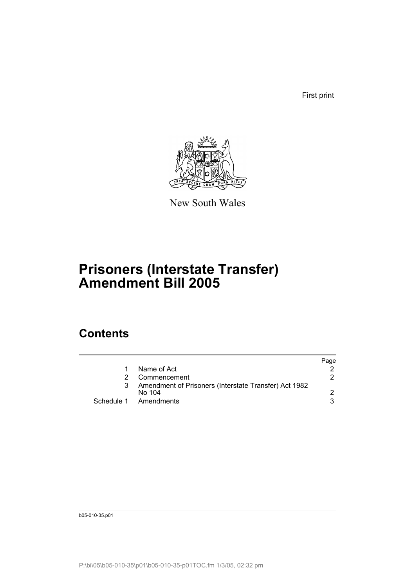First print



New South Wales

# **Prisoners (Interstate Transfer) Amendment Bill 2005**

## **Contents**

|                                                       | Page |
|-------------------------------------------------------|------|
| Name of Act                                           |      |
| Commencement                                          | 2.   |
| Amendment of Prisoners (Interstate Transfer) Act 1982 |      |
| No 104                                                |      |
| Schedule 1 Amendments                                 | 3    |
|                                                       |      |

b05-010-35.p01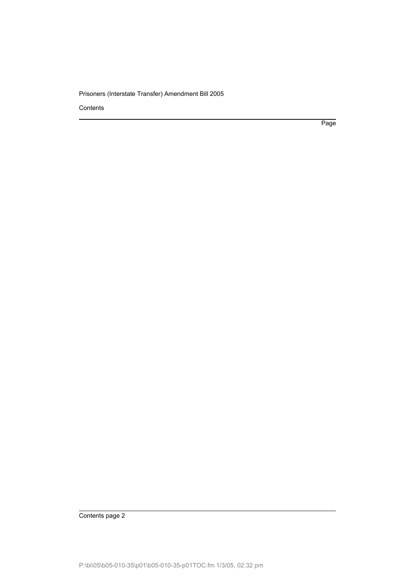**Contents** 

Page

Contents page 2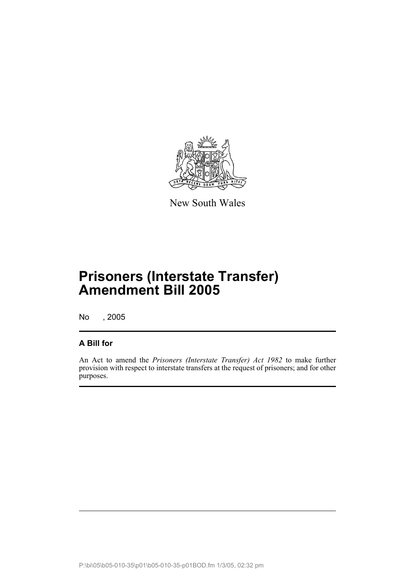

New South Wales

# **Prisoners (Interstate Transfer) Amendment Bill 2005**

No , 2005

#### **A Bill for**

An Act to amend the *Prisoners (Interstate Transfer) Act 1982* to make further provision with respect to interstate transfers at the request of prisoners; and for other purposes.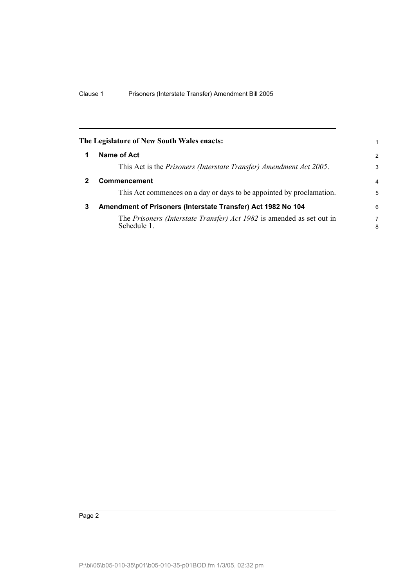|   | The Legislature of New South Wales enacts:                                           | 1             |  |
|---|--------------------------------------------------------------------------------------|---------------|--|
| 1 | Name of Act                                                                          | $\mathcal{P}$ |  |
|   | This Act is the Prisoners (Interstate Transfer) Amendment Act 2005.                  | 3             |  |
| 2 | <b>Commencement</b>                                                                  |               |  |
|   | This Act commences on a day or days to be appointed by proclamation.                 | 5             |  |
| 3 | Amendment of Prisoners (Interstate Transfer) Act 1982 No 104                         |               |  |
|   | The Prisoners (Interstate Transfer) Act 1982 is amended as set out in<br>Schedule 1. | 7<br>8        |  |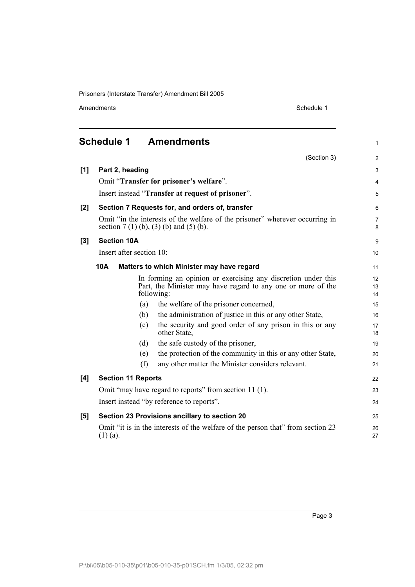Amendments Schedule 1

(Section 3)

1

2

### **Schedule 1 Amendments**

| [1]   | Part 2, heading                                                                                                                             |     |                                                                                 | 3        |
|-------|---------------------------------------------------------------------------------------------------------------------------------------------|-----|---------------------------------------------------------------------------------|----------|
|       | Omit "Transfer for prisoner's welfare".                                                                                                     |     |                                                                                 | 4        |
|       | Insert instead "Transfer at request of prisoner".                                                                                           |     |                                                                                 |          |
| $[2]$ | Section 7 Requests for, and orders of, transfer                                                                                             |     |                                                                                 |          |
|       | Omit "in the interests of the welfare of the prisoner" wherever occurring in<br>section $7(1)(b)$ , $(3)(b)$ and $(5)(b)$ .                 |     |                                                                                 |          |
| $[3]$ | <b>Section 10A</b>                                                                                                                          |     |                                                                                 | 9        |
|       | Insert after section 10:                                                                                                                    |     |                                                                                 | 10       |
|       | 10A<br>Matters to which Minister may have regard                                                                                            |     |                                                                                 | 11       |
|       | In forming an opinion or exercising any discretion under this<br>Part, the Minister may have regard to any one or more of the<br>following: |     |                                                                                 |          |
|       |                                                                                                                                             | (a) | the welfare of the prisoner concerned,                                          | 15       |
|       |                                                                                                                                             | (b) | the administration of justice in this or any other State,                       | 16       |
|       |                                                                                                                                             | (c) | the security and good order of any prison in this or any<br>other State,        | 17<br>18 |
|       |                                                                                                                                             | (d) | the safe custody of the prisoner,                                               | 19       |
|       |                                                                                                                                             | (e) | the protection of the community in this or any other State,                     | 20       |
|       |                                                                                                                                             | (f) | any other matter the Minister considers relevant.                               | 21       |
| [4]   | <b>Section 11 Reports</b>                                                                                                                   |     |                                                                                 | 22       |
|       | Omit "may have regard to reports" from section 11 (1).                                                                                      |     |                                                                                 | 23       |
|       | Insert instead "by reference to reports".                                                                                                   |     |                                                                                 | 24       |
| [5]   | Section 23 Provisions ancillary to section 20                                                                                               |     |                                                                                 | 25       |
|       | $(1)$ (a).                                                                                                                                  |     | Omit "it is in the interests of the welfare of the person that" from section 23 | 26<br>27 |